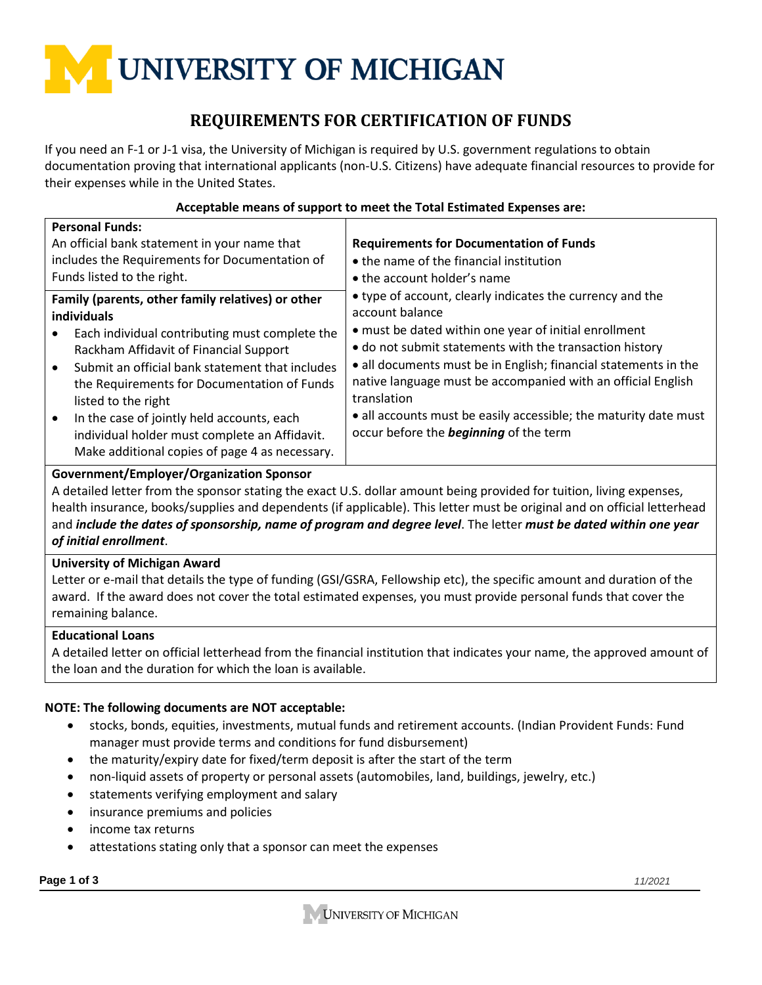# UNIVERSITY OF MICHIGAN

# **REQUIREMENTS FOR CERTIFICATION OF FUNDS**

If you need an F-1 or J-1 visa, the University of Michigan is required by U.S. government regulations to obtain documentation proving that international applicants (non-U.S. Citizens) have adequate financial resources to provide for their expenses while in the United States.

| , localization include of bappoint to meet the Total Estimated Expenses and:                                                                                                                                                                                                                                                                                                         |                                                                                                                                                                                                                                                                                                                                                                                                                                                                         |  |
|--------------------------------------------------------------------------------------------------------------------------------------------------------------------------------------------------------------------------------------------------------------------------------------------------------------------------------------------------------------------------------------|-------------------------------------------------------------------------------------------------------------------------------------------------------------------------------------------------------------------------------------------------------------------------------------------------------------------------------------------------------------------------------------------------------------------------------------------------------------------------|--|
| <b>Personal Funds:</b><br>An official bank statement in your name that<br>includes the Requirements for Documentation of<br>Funds listed to the right.                                                                                                                                                                                                                               | <b>Requirements for Documentation of Funds</b><br>• the name of the financial institution<br>• the account holder's name                                                                                                                                                                                                                                                                                                                                                |  |
| Family (parents, other family relatives) or other<br>individuals<br>Each individual contributing must complete the<br>Rackham Affidavit of Financial Support<br>Submit an official bank statement that includes<br>the Requirements for Documentation of Funds<br>listed to the right<br>In the case of jointly held accounts, each<br>individual holder must complete an Affidavit. | • type of account, clearly indicates the currency and the<br>account balance<br>• must be dated within one year of initial enrollment<br>• do not submit statements with the transaction history<br>• all documents must be in English; financial statements in the<br>native language must be accompanied with an official English<br>translation<br>· all accounts must be easily accessible; the maturity date must<br>occur before the <b>beginning</b> of the term |  |
| Make additional copies of page 4 as necessary.                                                                                                                                                                                                                                                                                                                                       |                                                                                                                                                                                                                                                                                                                                                                                                                                                                         |  |

### **Acceptable means of support to meet the Total Estimated Expenses are:**

## **Government/Employer/Organization Sponsor**

A detailed letter from the sponsor stating the exact U.S. dollar amount being provided for tuition, living expenses, health insurance, books/supplies and dependents (if applicable). This letter must be original and on official letterhead and *include the dates of sponsorship, name of program and degree level*. The letter *must be dated within one year of initial enrollment*.

## **University of Michigan Award**

Letter or e-mail that details the type of funding (GSI/GSRA, Fellowship etc), the specific amount and duration of the award. If the award does not cover the total estimated expenses, you must provide personal funds that cover the remaining balance.

#### **Educational Loans**

A detailed letter on official letterhead from the financial institution that indicates your name, the approved amount of the loan and the duration for which the loan is available.

## **NOTE: The following documents are NOT acceptable:**

- stocks, bonds, equities, investments, mutual funds and retirement accounts. (Indian Provident Funds: Fund manager must provide terms and conditions for fund disbursement)
- the maturity/expiry date for fixed/term deposit is after the start of the term
- non-liquid assets of property or personal assets (automobiles, land, buildings, jewelry, etc.)
- statements verifying employment and salary
- insurance premiums and policies
- income tax returns
- attestations stating only that a sponsor can meet the expenses

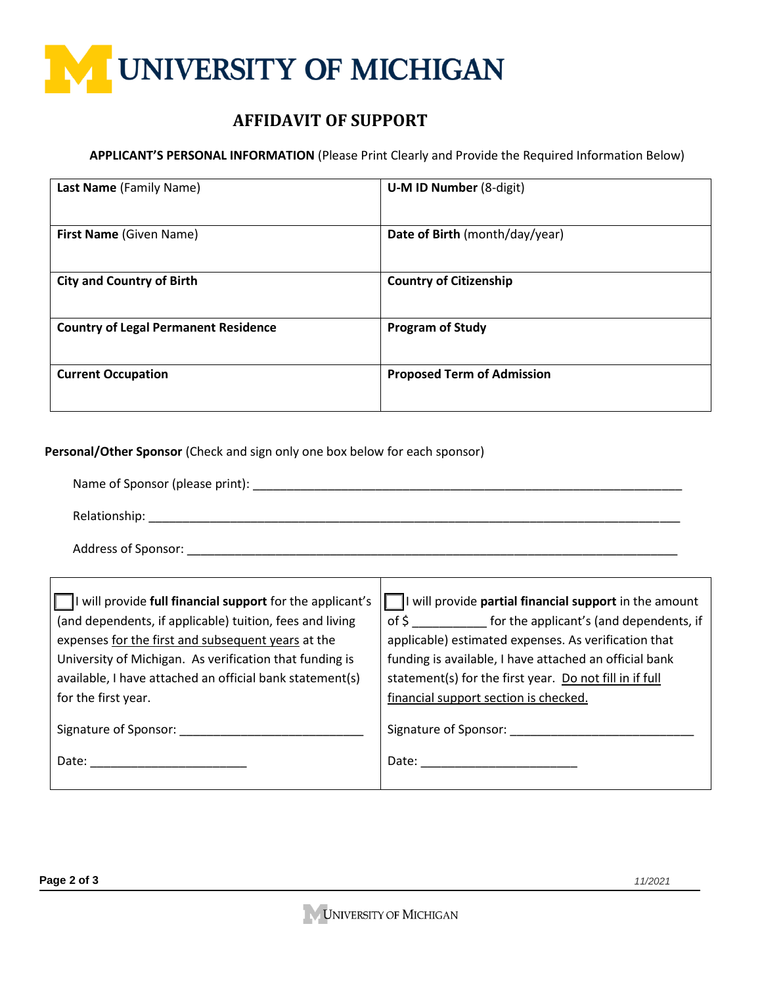

# **AFFIDAVIT OF SUPPORT**

#### **APPLICANT'S PERSONAL INFORMATION** (Please Print Clearly and Provide the Required Information Below)

| Last Name (Family Name)                     | <b>U-M ID Number (8-digit)</b>    |
|---------------------------------------------|-----------------------------------|
| First Name (Given Name)                     | Date of Birth (month/day/year)    |
| <b>City and Country of Birth</b>            | <b>Country of Citizenship</b>     |
| <b>Country of Legal Permanent Residence</b> | <b>Program of Study</b>           |
| <b>Current Occupation</b>                   | <b>Proposed Term of Admission</b> |

**Personal/Other Sponsor** (Check and sign only one box below for each sponsor)

| $\Box$ I will provide full financial support for the applicant's | $\Box$ will provide partial financial support in the amount   |  |
|------------------------------------------------------------------|---------------------------------------------------------------|--|
| (and dependents, if applicable) tuition, fees and living         | of \$ _______________ for the applicant's (and dependents, if |  |
| expenses for the first and subsequent years at the               | applicable) estimated expenses. As verification that          |  |
| University of Michigan. As verification that funding is          | funding is available, I have attached an official bank        |  |
| available, I have attached an official bank statement(s)         | statement(s) for the first year. Do not fill in if full       |  |
| for the first year.                                              | financial support section is checked.                         |  |
|                                                                  |                                                               |  |
|                                                                  |                                                               |  |
|                                                                  |                                                               |  |